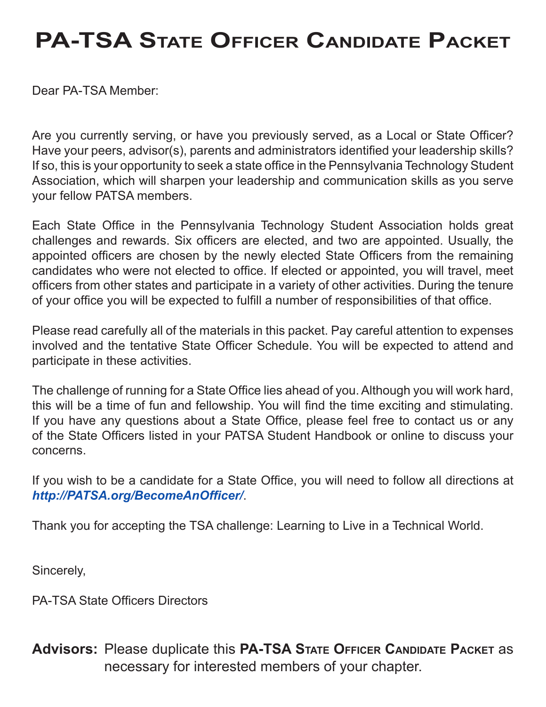# **PA-TSA State Officer Candidate Packet**

Dear PA-TSA Member:

Are you currently serving, or have you previously served, as a Local or State Officer? Have your peers, advisor(s), parents and administrators identified your leadership skills? If so, this is your opportunity to seek a state office in the Pennsylvania Technology Student Association, which will sharpen your leadership and communication skills as you serve your fellow PATSA members.

Each State Office in the Pennsylvania Technology Student Association holds great challenges and rewards. Six officers are elected, and two are appointed. Usually, the appointed officers are chosen by the newly elected State Officers from the remaining candidates who were not elected to office. If elected or appointed, you will travel, meet officers from other states and participate in a variety of other activities. During the tenure of your office you will be expected to fulfill a number of responsibilities of that office.

Please read carefully all of the materials in this packet. Pay careful attention to expenses involved and the tentative State Officer Schedule. You will be expected to attend and participate in these activities.

The challenge of running for a State Office lies ahead of you. Although you will work hard, this will be a time of fun and fellowship. You will find the time exciting and stimulating. If you have any questions about a State Office, please feel free to contact us or any of the State Officers listed in your PATSA Student Handbook or online to discuss your concerns.

If you wish to be a candidate for a State Office, you will need to follow all directions at *<http://PATSA.org/BecomeAnOfficer/>*.

Thank you for accepting the TSA challenge: Learning to Live in a Technical World.

Sincerely,

PA-TSA State Officers Directors

**Advisors:** Please duplicate this **PA-TSA State Officer Candidate Packet** as necessary for interested members of your chapter.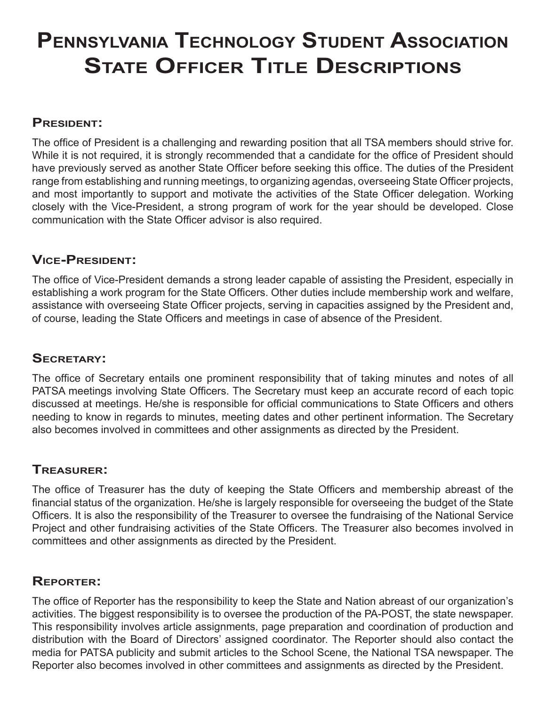# **Pennsylvania Technology Student Association State Officer Title Descriptions**

#### **President:**

The office of President is a challenging and rewarding position that all TSA members should strive for. While it is not required, it is strongly recommended that a candidate for the office of President should have previously served as another State Officer before seeking this office. The duties of the President range from establishing and running meetings, to organizing agendas, overseeing State Officer projects, and most importantly to support and motivate the activities of the State Officer delegation. Working closely with the Vice-President, a strong program of work for the year should be developed. Close communication with the State Officer advisor is also required.

#### **Vice-President:**

The office of Vice-President demands a strong leader capable of assisting the President, especially in establishing a work program for the State Officers. Other duties include membership work and welfare, assistance with overseeing State Officer projects, serving in capacities assigned by the President and, of course, leading the State Officers and meetings in case of absence of the President.

#### **Secretary:**

The office of Secretary entails one prominent responsibility that of taking minutes and notes of all PATSA meetings involving State Officers. The Secretary must keep an accurate record of each topic discussed at meetings. He/she is responsible for official communications to State Officers and others needing to know in regards to minutes, meeting dates and other pertinent information. The Secretary also becomes involved in committees and other assignments as directed by the President.

#### **Treasurer:**

The office of Treasurer has the duty of keeping the State Officers and membership abreast of the financial status of the organization. He/she is largely responsible for overseeing the budget of the State Officers. It is also the responsibility of the Treasurer to oversee the fundraising of the National Service Project and other fundraising activities of the State Officers. The Treasurer also becomes involved in committees and other assignments as directed by the President.

### **Reporter:**

The office of Reporter has the responsibility to keep the State and Nation abreast of our organization's activities. The biggest responsibility is to oversee the production of the PA-POST, the state newspaper. This responsibility involves article assignments, page preparation and coordination of production and distribution with the Board of Directors' assigned coordinator. The Reporter should also contact the media for PATSA publicity and submit articles to the School Scene, the National TSA newspaper. The Reporter also becomes involved in other committees and assignments as directed by the President.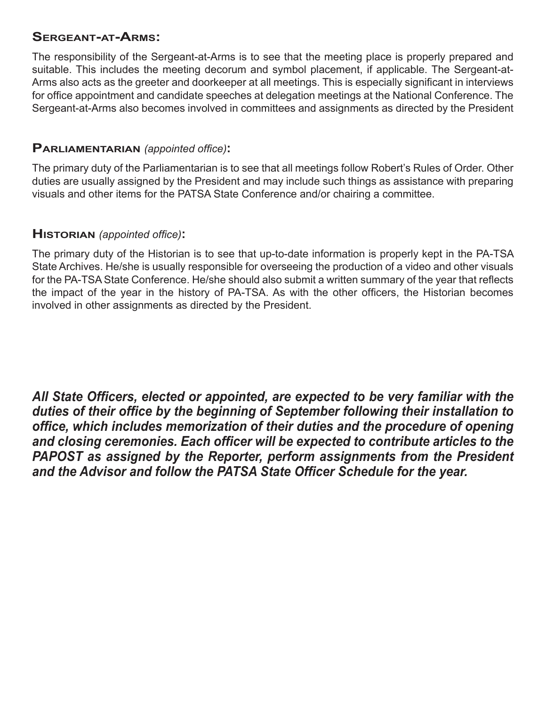#### **Sergeant-at-Arms:**

The responsibility of the Sergeant-at-Arms is to see that the meeting place is properly prepared and suitable. This includes the meeting decorum and symbol placement, if applicable. The Sergeant-at-Arms also acts as the greeter and doorkeeper at all meetings. This is especially significant in interviews for office appointment and candidate speeches at delegation meetings at the National Conference. The Sergeant-at-Arms also becomes involved in committees and assignments as directed by the President

#### **Parliamentarian** *(appointed office)***:**

The primary duty of the Parliamentarian is to see that all meetings follow Robert's Rules of Order. Other duties are usually assigned by the President and may include such things as assistance with preparing visuals and other items for the PATSA State Conference and/or chairing a committee.

#### **Historian** *(appointed office)***:**

The primary duty of the Historian is to see that up-to-date information is properly kept in the PA-TSA State Archives. He/she is usually responsible for overseeing the production of a video and other visuals for the PA-TSA State Conference. He/she should also submit a written summary of the year that reflects the impact of the year in the history of PA-TSA. As with the other officers, the Historian becomes involved in other assignments as directed by the President.

*All State Officers, elected or appointed, are expected to be very familiar with the duties of their office by the beginning of September following their installation to office, which includes memorization of their duties and the procedure of opening and closing ceremonies. Each officer will be expected to contribute articles to the PAPOST as assigned by the Reporter, perform assignments from the President and the Advisor and follow the PATSA State Officer Schedule for the year.*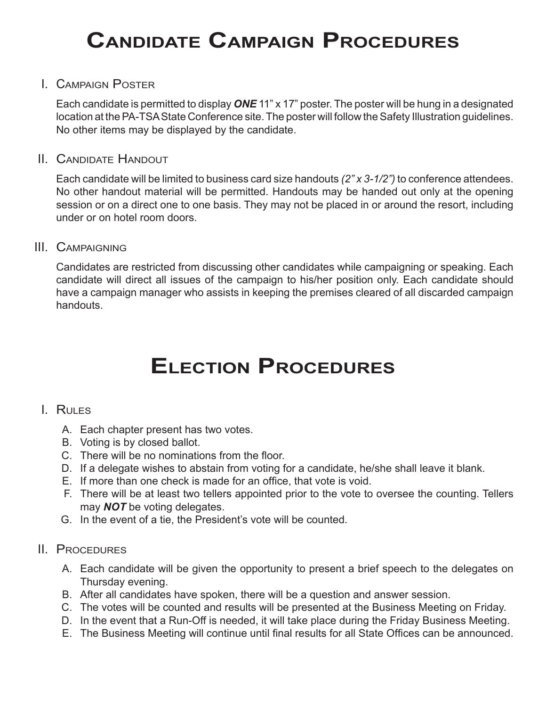# **Candidate Campaign Procedures**

#### I. Campaign Poster

 Each candidate is permitted to display *ONE* 11" x 17" poster. The poster will be hung in a designated location at the PA-TSA State Conference site. The poster will follow the Safety Illustration guidelines. No other items may be displayed by the candidate.

#### II. Candidate Handout

 Each candidate will be limited to business card size handouts *(2" x 3-1/2")* to conference attendees. No other handout material will be permitted. Handouts may be handed out only at the opening session or on a direct one to one basis. They may not be placed in or around the resort, including under or on hotel room doors.

#### III. Campaigning

Candidates are restricted from discussing other candidates while campaigning or speaking. Each candidate will direct all issues of the campaign to his/her position only. Each candidate should have a campaign manager who assists in keeping the premises cleared of all discarded campaign handouts.

### **Election Procedures**

#### I. Rules

- A. Each chapter present has two votes.
- B. Voting is by closed ballot.
- C. There will be no nominations from the floor.
- D. If a delegate wishes to abstain from voting for a candidate, he/she shall leave it blank.
- E. If more than one check is made for an office, that vote is void.
- F. There will be at least two tellers appointed prior to the vote to oversee the counting. Tellers may *NOT* be voting delegates.
- G. In the event of a tie, the President's vote will be counted.

#### II. Procedures

- A. Each candidate will be given the opportunity to present a brief speech to the delegates on Thursday evening.
- B. After all candidates have spoken, there will be a question and answer session.
- C. The votes will be counted and results will be presented at the Business Meeting on Friday.
- D. In the event that a Run-Off is needed, it will take place during the Friday Business Meeting.
- E. The Business Meeting will continue until final results for all State Offices can be announced.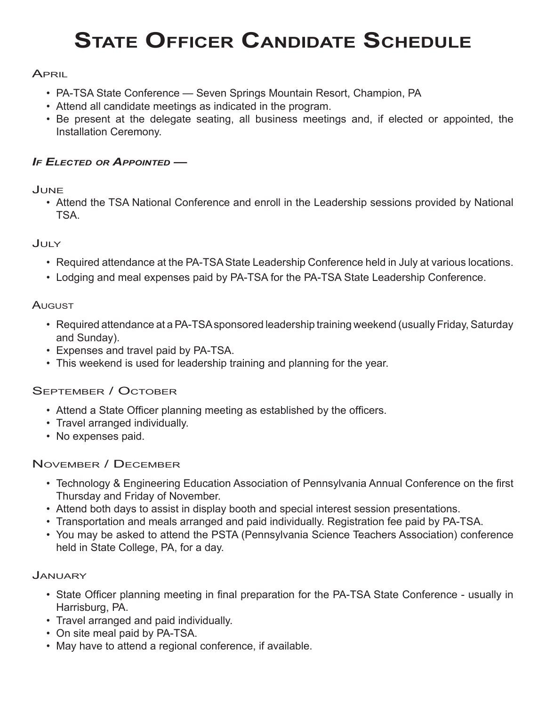# **State Officer Candidate Schedule**

#### **APRIL**

- PA-TSA State Conference Seven Springs Mountain Resort, Champion, PA
- Attend all candidate meetings as indicated in the program.
- Be present at the delegate seating, all business meetings and, if elected or appointed, the Installation Ceremony.

#### *If Elected or Appointed —*

#### June

• Attend the TSA National Conference and enroll in the Leadership sessions provided by National TSA.

#### July

- Required attendance at the PA-TSA State Leadership Conference held in July at various locations.
- Lodging and meal expenses paid by PA-TSA for the PA-TSA State Leadership Conference.

#### **A**ugust

- Required attendance at a PA-TSA sponsored leadership training weekend (usually Friday, Saturday and Sunday).
- Expenses and travel paid by PA-TSA.
- This weekend is used for leadership training and planning for the year.

#### September / October

- Attend a State Officer planning meeting as established by the officers.
- Travel arranged individually.
- No expenses paid.

#### November / December

- Technology & Engineering Education Association of Pennsylvania Annual Conference on the first Thursday and Friday of November.
- Attend both days to assist in display booth and special interest session presentations.
- Transportation and meals arranged and paid individually. Registration fee paid by PA-TSA.
- You may be asked to attend the PSTA (Pennsylvania Science Teachers Association) conference held in State College, PA, for a day.

#### **JANUARY**

- State Officer planning meeting in final preparation for the PA-TSA State Conference usually in Harrisburg, PA.
- Travel arranged and paid individually.
- On site meal paid by PA-TSA.
- May have to attend a regional conference, if available.